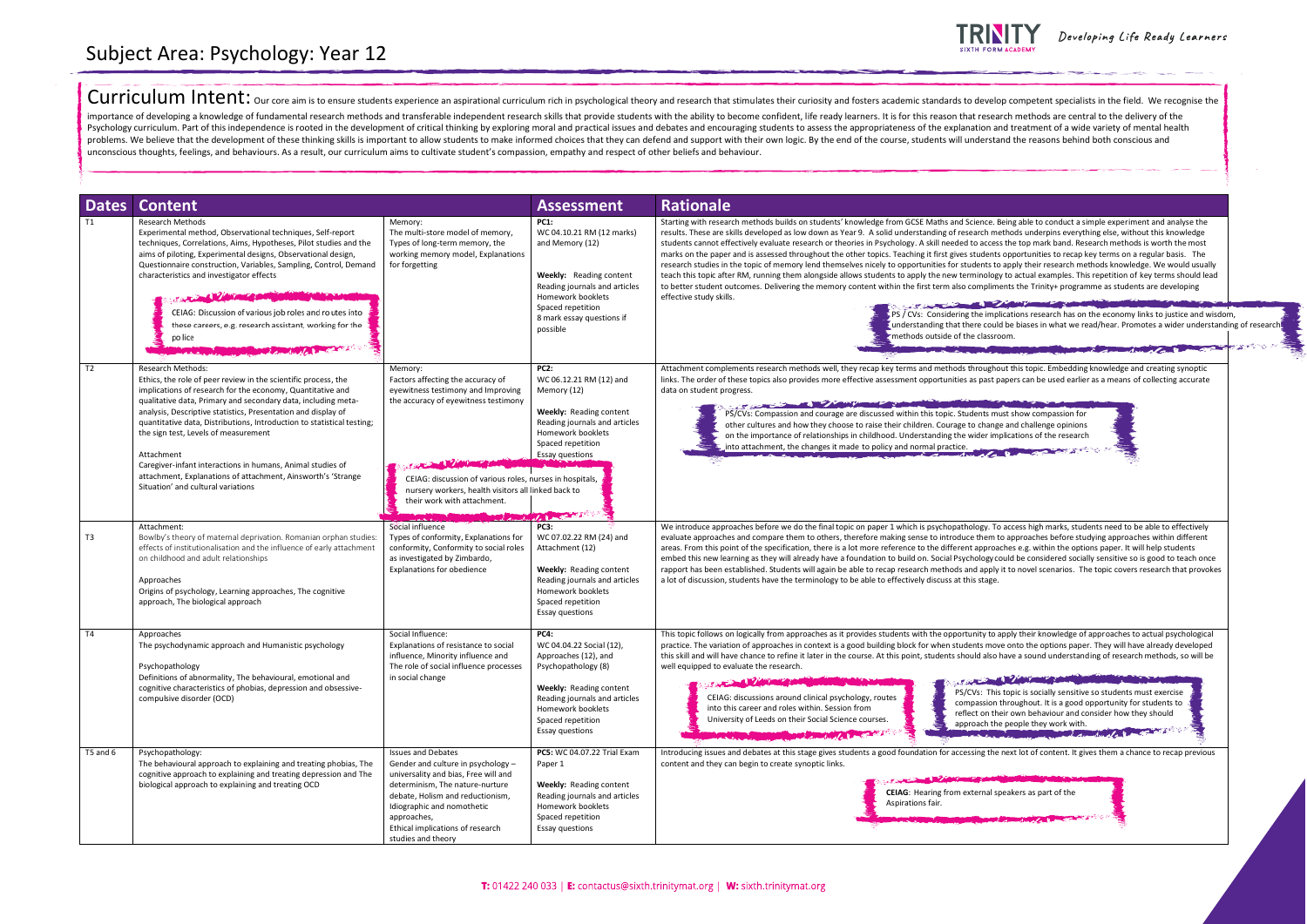Curriculum Intent: our core aim is to ensure students experience an aspirational curriculum rich in psychological theory and research that stimulates their curiosity and fosters academic standards to develop competent spec importance of developing a knowledge of fundamental research methods and transferable independent research skills that provide students with the ability to become confident, life ready learners. It is for this reason that Psychology curriculum. Part of this independence is rooted in the development of critical thinking by exploring moral and practical issues and debates and encouraging students to assess the appropriateness of the explanati problems. We believe that the development of these thinking skills is important to allow students to make informed choices that they can defend and support with their own logic. By the end of the course, students will unde unconscious thoughts, feelings, and behaviours. As a result, our curriculum aims to cultivate student's compassion, empathy and respect of other beliefs and behaviour.

| <b>Dates</b>   | <b>Content</b>                                                                                                                                                                                                                                                                                                                                                                                                                                                                                                                                                                                 |                                                                                                                                                                                                                                                                                       | <b>Assessment</b>                                                                                                                                                                                                                                 | <b>Rationale</b>                                                                                                                                                                                                                                                                                                                                                                                                                                                                                                                                                                                                                                                                                                                                                                                                                                                      |  |
|----------------|------------------------------------------------------------------------------------------------------------------------------------------------------------------------------------------------------------------------------------------------------------------------------------------------------------------------------------------------------------------------------------------------------------------------------------------------------------------------------------------------------------------------------------------------------------------------------------------------|---------------------------------------------------------------------------------------------------------------------------------------------------------------------------------------------------------------------------------------------------------------------------------------|---------------------------------------------------------------------------------------------------------------------------------------------------------------------------------------------------------------------------------------------------|-----------------------------------------------------------------------------------------------------------------------------------------------------------------------------------------------------------------------------------------------------------------------------------------------------------------------------------------------------------------------------------------------------------------------------------------------------------------------------------------------------------------------------------------------------------------------------------------------------------------------------------------------------------------------------------------------------------------------------------------------------------------------------------------------------------------------------------------------------------------------|--|
| T1             | <b>Research Methods</b><br>Experimental method, Observational techniques, Self-report<br>techniques, Correlations, Aims, Hypotheses, Pilot studies and the<br>aims of piloting, Experimental designs, Observational design,<br>Questionnaire construction, Variables, Sampling, Control, Demand<br>characteristics and investigator effects<br>CEIAG: Discussion of various job roles and routes into<br>these careers, e.g. research assistant, working for the<br>po lice<br>Constructor Rd                                                                                                  | Memory:<br>The multi-store model of memory,<br>Types of long-term memory, the<br>working memory model, Explanations<br>for forgetting                                                                                                                                                 | <b>PC1:</b><br>WC 04.10.21 RM (12 marks)<br>and Memory (12)<br><b>Weekly:</b> Reading content<br>Reading journals and articles<br>Homework booklets<br>Spaced repetition<br>8 mark essay questions if<br>possible                                 | Starting with research methods builds on students' knowledge from GCSE Maths and Science.<br>results. These are skills developed as low down as Year 9. A solid understanding of research m<br>students cannot effectively evaluate research or theories in Psychology. A skill needed to acces<br>marks on the paper and is assessed throughout the other topics. Teaching it first gives student:<br>research studies in the topic of memory lend themselves nicely to opportunities for students to<br>teach this topic after RM, running them alongside allows students to apply the new terminolog<br>to better student outcomes. Delivering the memory content within the first term also complim<br>effective study skills.<br><b>CONTRACTOR</b> CONTRACTOR<br>PS / CVs: Considering the imp<br>understanding that there coul<br>methods outside of the classr |  |
| T <sub>2</sub> | <b>Research Methods:</b><br>Ethics, the role of peer review in the scientific process, the<br>implications of research for the economy, Quantitative and<br>qualitative data, Primary and secondary data, including meta-<br>analysis, Descriptive statistics, Presentation and display of<br>quantitative data, Distributions, Introduction to statistical testing;<br>the sign test, Levels of measurement<br>Attachment<br>Caregiver-infant interactions in humans, Animal studies of<br>attachment, Explanations of attachment, Ainsworth's 'Strange<br>Situation' and cultural variations | Memory:<br>Factors affecting the accuracy of<br>eyewitness testimony and Improving<br>the accuracy of eyewitness testimony<br>CEIAG: discussion of various roles, nurses in hospitals,<br>nursery workers, health visitors all linked back to<br>their work with attachment.          | <b>PC2:</b><br>WC 06.12.21 RM (12) and<br>Memory (12)<br><b>Weekly: Reading content</b><br>Reading journals and articles<br>Homework booklets<br>Spaced repetition<br><b>Essay questions</b><br>$\mathcal{A}$ and $\mathcal{A}$ and $\mathcal{A}$ | Attachment complements research methods well, they recap key terms and methods through<br>links. The order of these topics also provides more effective assessment opportunities as past p<br>data on student progress.<br>The contract of the contract of the contract of the contract of the contract of the contract of the contract of<br>PS/CVs: Compassion and courage are discussed within this topic. Students m<br>other cultures and how they choose to raise their children. Courage to chang<br>on the importance of relationships in childhood. Understanding the wider im<br>into attachment, the changes it made to policy and normal practice.                                                                                                                                                                                                        |  |
| T3             | Attachment:<br>Bowlby's theory of maternal deprivation. Romanian orphan studies:<br>effects of institutionalisation and the influence of early attachment<br>on childhood and adult relationships<br>Approaches<br>Origins of psychology, Learning approaches, The cognitive<br>approach, The biological approach                                                                                                                                                                                                                                                                              | Social influence<br>Types of conformity, Explanations for<br>conformity, Conformity to social roles<br>as investigated by Zimbardo,<br><b>Explanations for obedience</b>                                                                                                              | <b>PC3:</b><br>WC 07.02.22 RM (24) and<br>Attachment (12)<br><b>Weekly: Reading content</b><br>Reading journals and articles<br>Homework booklets<br>Spaced repetition<br>Essay questions                                                         | We introduce approaches before we do the final topic on paper 1 which is psychopathology. To<br>evaluate approaches and compare them to others, therefore making sense to introduce them<br>areas. From this point of the specification, there is a lot more reference to the different approar<br>embed this new learning as they will already have a foundation to build on. Social Psychology c<br>rapport has been established. Students will again be able to recap research methods and apply<br>a lot of discussion, students have the terminology to be able to effectively discuss at this stage.                                                                                                                                                                                                                                                            |  |
| T <sub>4</sub> | Approaches<br>The psychodynamic approach and Humanistic psychology<br>Psychopathology<br>Definitions of abnormality, The behavioural, emotional and<br>cognitive characteristics of phobias, depression and obsessive-<br>compulsive disorder (OCD)                                                                                                                                                                                                                                                                                                                                            | Social Influence:<br>Explanations of resistance to social<br>influence, Minority influence and<br>The role of social influence processes<br>in social change                                                                                                                          | <b>PC4:</b><br>WC 04.04.22 Social (12),<br>Approaches (12), and<br>Psychopathology (8)<br>Weekly: Reading content<br>Reading journals and articles<br>Homework booklets<br>Spaced repetition<br>Essay questions                                   | This topic follows on logically from approaches as it provides students with the opportunity to<br>practice. The variation of approaches in context is a good building block for when students mo<br>this skill and will have chance to refine it later in the course. At this point, students should also<br>well equipped to evaluate the research.<br>the complete state of the complete state of the complete state of the complete state of the complete<br><b>CONTRACTOR</b><br><b>SALE</b><br>PS/CVs: Thi<br>CEIAG: discussions around clinical psychology, routes<br>compassion<br>into this career and roles within. Session from<br>reflect on th<br>University of Leeds on their Social Science courses.<br>approach th<br><b>DESCRIPTION AND RESIDENCE</b>                                                                                                |  |
| T5 and 6       | Psychopathology:<br>The behavioural approach to explaining and treating phobias, The<br>cognitive approach to explaining and treating depression and The<br>biological approach to explaining and treating OCD                                                                                                                                                                                                                                                                                                                                                                                 | <b>Issues and Debates</b><br>Gender and culture in psychology -<br>universality and bias, Free will and<br>determinism, The nature-nurture<br>debate, Holism and reductionism,<br>Idiographic and nomothetic<br>approaches,<br>Ethical implications of research<br>studies and theory | PC5: WC 04.07.22 Trial Exam<br>Paper 1<br>Weekly: Reading content<br>Reading journals and articles<br>Homework booklets<br>Spaced repetition<br>Essay questions                                                                                   | Introducing issues and debates at this stage gives students a good foundation for accessing the<br>content and they can begin to create synoptic links.<br><b>CEIAG:</b> Hearing from external s<br>Aspirations fair.                                                                                                                                                                                                                                                                                                                                                                                                                                                                                                                                                                                                                                                 |  |



Developing Life Ready Learners